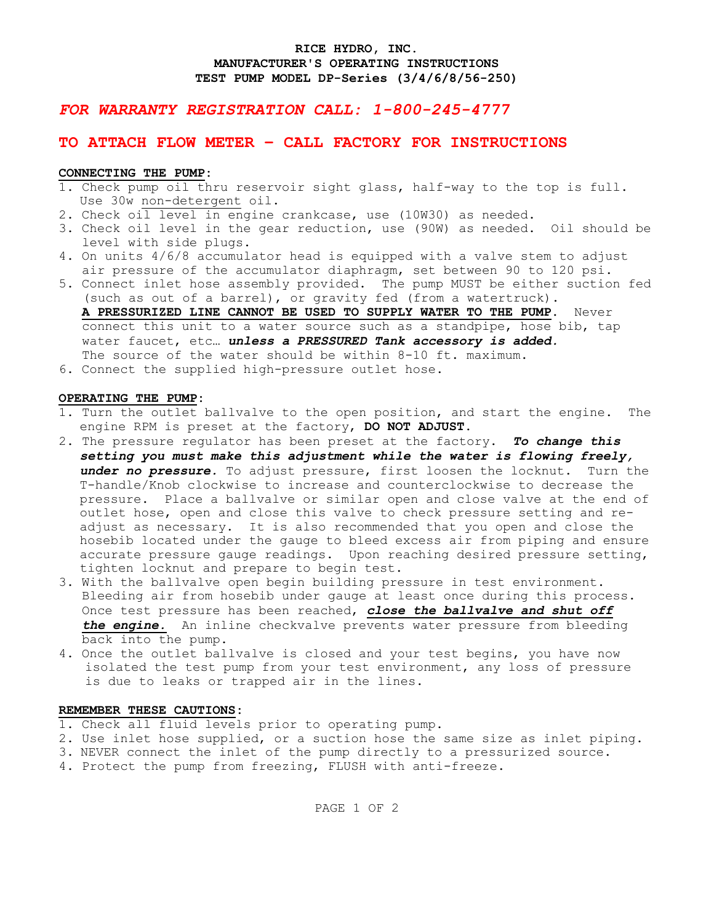## **RICE HYDRO, INC. MANUFACTURER'S OPERATING INSTRUCTIONS TEST PUMP MODEL DP-Series (3/4/6/8/56-250)**

# *FOR WARRANTY REGISTRATION CALL: 1-800-245-4777*

# **TO ATTACH FLOW METER – CALL FACTORY FOR INSTRUCTIONS**

## **CONNECTING THE PUMP:**

- 1. Check pump oil thru reservoir sight glass, half-way to the top is full. Use 30w non-detergent oil.
- 2. Check oil level in engine crankcase, use (10W30) as needed.
- 3. Check oil level in the gear reduction, use (90W) as needed. Oil should be level with side plugs.
- 4. On units 4/6/8 accumulator head is equipped with a valve stem to adjust air pressure of the accumulator diaphragm, set between 90 to 120 psi.
- 5. Connect inlet hose assembly provided. The pump MUST be either suction fed (such as out of a barrel), or gravity fed (from a watertruck).

 **A PRESSURIZED LINE CANNOT BE USED TO SUPPLY WATER TO THE PUMP.** Never connect this unit to a water source such as a standpipe, hose bib, tap water faucet, etc… *unless a PRESSURED Tank accessory is added.* The source of the water should be within 8-10 ft. maximum.

6. Connect the supplied high-pressure outlet hose.

### **OPERATING THE PUMP:**

- 1. Turn the outlet ballvalve to the open position, and start the engine. The engine RPM is preset at the factory, **DO NOT ADJUST.**
- 2. The pressure regulator has been preset at the factory. *To change this setting you must make this adjustment while the water is flowing freely, under no pressure.* To adjust pressure, first loosen the locknut. Turn the T-handle/Knob clockwise to increase and counterclockwise to decrease the pressure. Place a ballvalve or similar open and close valve at the end of outlet hose, open and close this valve to check pressure setting and readjust as necessary. It is also recommended that you open and close the hosebib located under the gauge to bleed excess air from piping and ensure accurate pressure gauge readings. Upon reaching desired pressure setting, tighten locknut and prepare to begin test.
- 3. With the ballvalve open begin building pressure in test environment. Bleeding air from hosebib under gauge at least once during this process. Once test pressure has been reached, *close the ballvalve and shut off the engine.* An inline checkvalve prevents water pressure from bleeding back into the pump.
- 4. Once the outlet ballvalve is closed and your test begins, you have now isolated the test pump from your test environment, any loss of pressure is due to leaks or trapped air in the lines.

#### **REMEMBER THESE CAUTIONS:**

- 1. Check all fluid levels prior to operating pump.
- 2. Use inlet hose supplied, or a suction hose the same size as inlet piping.
- 3.NEVER connect the inlet of the pump directly to a pressurized source.
- 4. Protect the pump from freezing, FLUSH with anti-freeze.